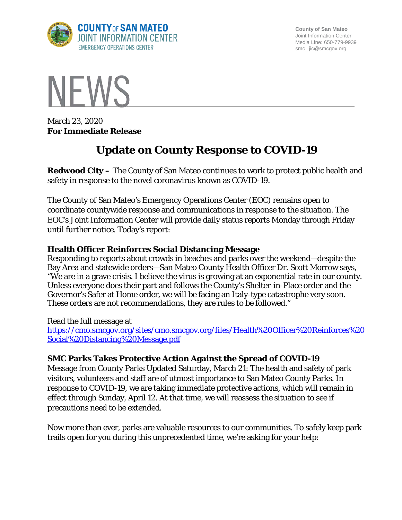

**County of San Mateo** Joint Information Center Media Line: 650-779-9939 smc\_ jic@smcgov.org



March 23, 2020 **For Immediate Release**

# **Update on County Response to COVID-19**

**Redwood City –** The County of San Mateo continues to work to protect public health and safety in response to the novel coronavirus known as COVID-19.

The County of San Mateo's Emergency Operations Center (EOC) remains open to coordinate countywide response and communications in response to the situation. The EOC's Joint Information Center will provide daily status reports Monday through Friday until further notice. Today's report:

### **Health Officer Reinforces Social Distancing Message**

Responding to reports about crowds in beaches and parks over the weekend—despite the Bay Area and statewide orders—San Mateo County Health Officer Dr. Scott Morrow says, "We are in a grave crisis. I believe the virus is growing at an exponential rate in our county. Unless everyone does their part and follows the County's Shelter-in-Place order and the Governor's Safer at Home order, we will be facing an Italy-type catastrophe very soon. These orders are not recommendations, they are rules to be followed."

Read the full message at

[https://cmo.smcgov.org/sites/cmo.smcgov.org/files/Health%20Officer%20Reinforces%20](https://cmo.smcgov.org/sites/cmo.smcgov.org/files/Health%20Officer%20Reinforces%20Social%20Distancing%20Message.pdf) [Social%20Distancing%20Message.pdf](https://cmo.smcgov.org/sites/cmo.smcgov.org/files/Health%20Officer%20Reinforces%20Social%20Distancing%20Message.pdf)

## **SMC Parks Takes Protective Action Against the Spread of COVID-19**

Message from County Parks Updated Saturday, March 21: The health and safety of park visitors, volunteers and staff are of utmost importance to San Mateo County Parks. In response to COVID-19, we are taking immediate protective actions, which will remain in effect through Sunday, April 12. At that time, we will reassess the situation to see if precautions need to be extended.

Now more than ever, parks are valuable resources to our communities. To safely keep park trails open for you during this unprecedented time, we're asking for your help: